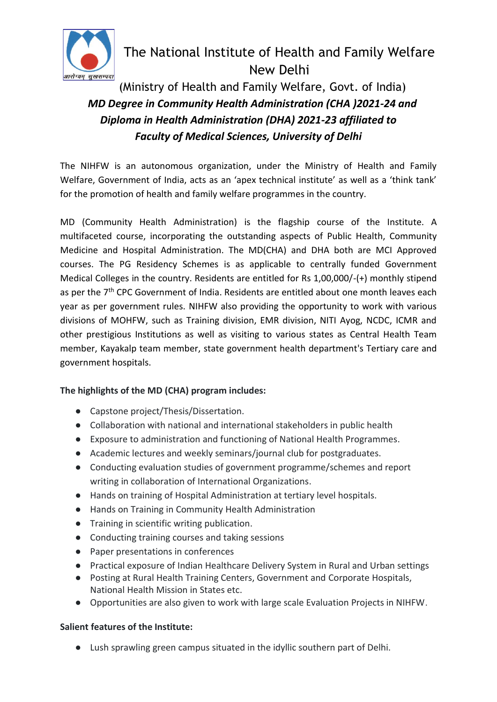

# The National Institute of Health and Family Welfare New Delhi

 (Ministry of Health and Family Welfare, Govt. of India)  *MD Degree in Community Health Administration (CHA )2021-24 and Diploma in Health Administration (DHA) 2021-23 affiliated to Faculty of Medical Sciences, University of Delhi*

The NIHFW is an autonomous organization, under the Ministry of Health and Family Welfare, Government of India, acts as an 'apex technical institute' as well as a 'think tank' for the promotion of health and family welfare programmes in the country.

MD (Community Health Administration) is the flagship course of the Institute. A multifaceted course, incorporating the outstanding aspects of Public Health, Community Medicine and Hospital Administration. The MD(CHA) and DHA both are MCI Approved courses. The PG Residency Schemes is as applicable to centrally funded Government Medical Colleges in the country. Residents are entitled for Rs 1,00,000/-(+) monthly stipend as per the 7<sup>th</sup> CPC Government of India. Residents are entitled about one month leaves each year as per government rules. NIHFW also providing the opportunity to work with various divisions of MOHFW, such as Training division, EMR division, NITI Ayog, NCDC, ICMR and other prestigious Institutions as well as visiting to various states as Central Health Team member, Kayakalp team member, state government health department's Tertiary care and government hospitals.

## **The highlights of the MD (CHA) program includes:**

- Capstone project/Thesis/Dissertation.
- Collaboration with national and international stakeholders in public health
- Exposure to administration and functioning of National Health Programmes.
- Academic lectures and weekly seminars/journal club for postgraduates.
- Conducting evaluation studies of government programme/schemes and report writing in collaboration of International Organizations.
- Hands on training of Hospital Administration at tertiary level hospitals.
- Hands on Training in Community Health Administration
- Training in scientific writing publication.
- Conducting training courses and taking sessions
- Paper presentations in conferences
- Practical exposure of Indian Healthcare Delivery System in Rural and Urban settings
- Posting at Rural Health Training Centers, Government and Corporate Hospitals, National Health Mission in States etc.
- Opportunities are also given to work with large scale Evaluation Projects in NIHFW.

## **Salient features of the Institute:**

● Lush sprawling green campus situated in the idyllic southern part of Delhi.